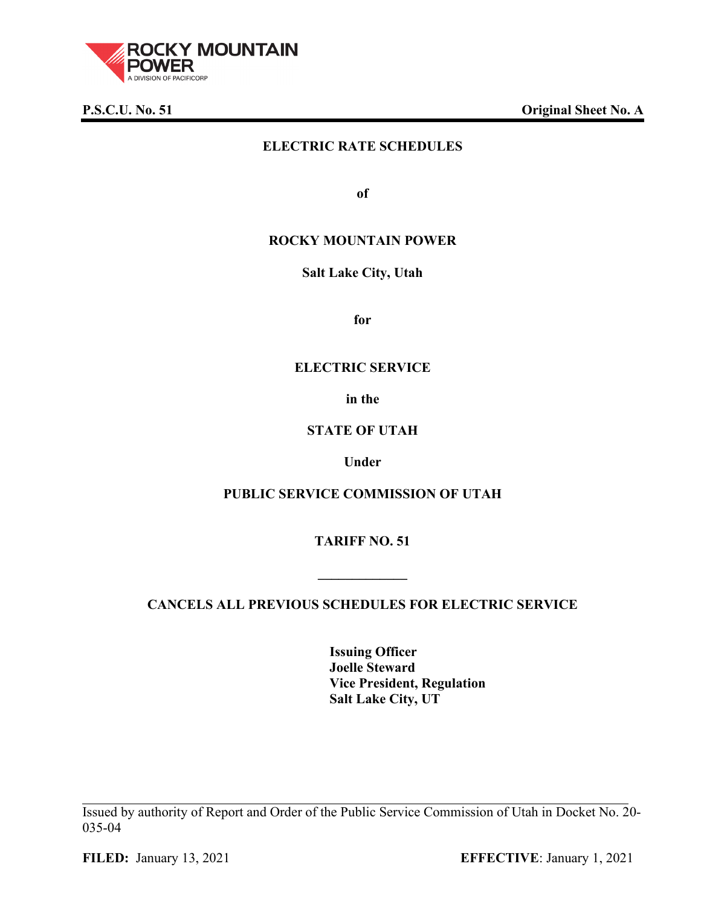

**P.S.C.U. No. 51 Original Sheet No. A**

# **ELECTRIC RATE SCHEDULES**

**of**

## **ROCKY MOUNTAIN POWER**

### **Salt Lake City, Utah**

**for**

### **ELECTRIC SERVICE**

**in the**

## **STATE OF UTAH**

### **Under**

# **PUBLIC SERVICE COMMISSION OF UTAH**

**TARIFF NO. 51**

# **CANCELS ALL PREVIOUS SCHEDULES FOR ELECTRIC SERVICE**

**\_\_\_\_\_\_\_\_\_\_\_\_\_**

**Issuing Officer Joelle Steward Vice President, Regulation Salt Lake City, UT**

Issued by authority of Report and Order of the Public Service Commission of Utah in Docket No. 20- 035-04

**FILED:** January 13, 2021 **EFFECTIVE**: January 1, 2021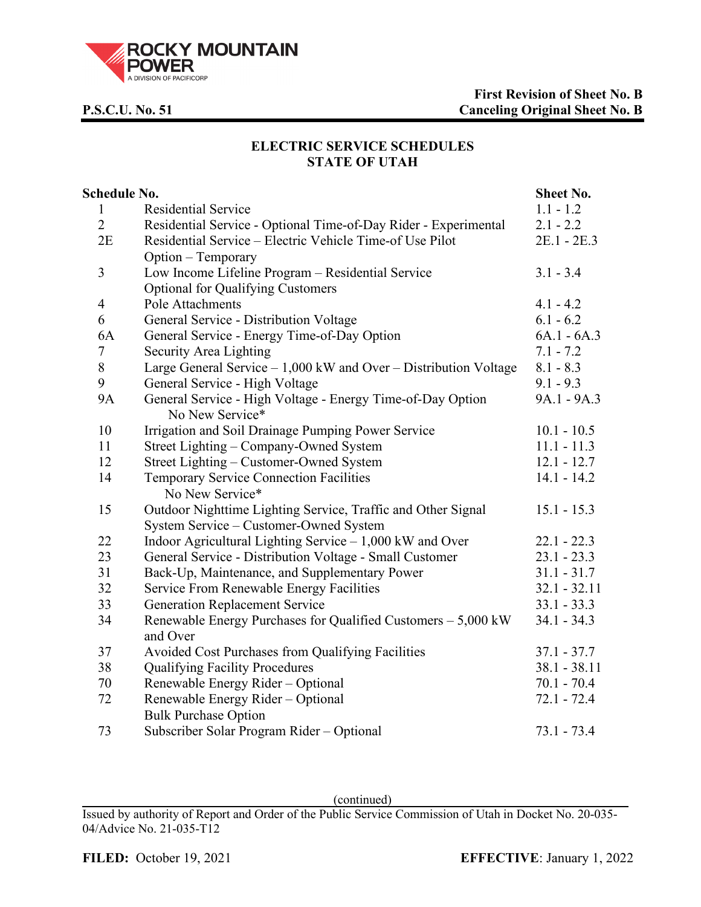

# **ELECTRIC SERVICE SCHEDULES STATE OF UTAH**

| Schedule No.   | Sheet No.                                                                     |                |
|----------------|-------------------------------------------------------------------------------|----------------|
| $\mathbf{1}$   | <b>Residential Service</b>                                                    | $1.1 - 1.2$    |
| $\overline{2}$ | Residential Service - Optional Time-of-Day Rider - Experimental               | $2.1 - 2.2$    |
| 2E             | Residential Service – Electric Vehicle Time-of Use Pilot                      | 2E.1 - 2E.3    |
|                | Option – Temporary                                                            |                |
| 3              | Low Income Lifeline Program - Residential Service                             | $3.1 - 3.4$    |
|                | <b>Optional for Qualifying Customers</b>                                      |                |
| $\overline{4}$ | Pole Attachments                                                              | $4.1 - 4.2$    |
| 6              | General Service - Distribution Voltage                                        | $6.1 - 6.2$    |
| 6A             | General Service - Energy Time-of-Day Option                                   | $6A.1 - 6A.3$  |
| 7              | Security Area Lighting                                                        | $7.1 - 7.2$    |
| 8              | Large General Service $-1,000$ kW and Over – Distribution Voltage             | $8.1 - 8.3$    |
| 9              | General Service - High Voltage                                                | $9.1 - 9.3$    |
| <b>9A</b>      | General Service - High Voltage - Energy Time-of-Day Option<br>No New Service* | 9A.1 - 9A.3    |
| 10             | Irrigation and Soil Drainage Pumping Power Service                            | $10.1 - 10.5$  |
| 11             | Street Lighting – Company-Owned System                                        | $11.1 - 11.3$  |
| 12             | Street Lighting – Customer-Owned System                                       | $12.1 - 12.7$  |
| 14             | Temporary Service Connection Facilities                                       | $14.1 - 14.2$  |
|                | No New Service*                                                               |                |
| 15             | Outdoor Nighttime Lighting Service, Traffic and Other Signal                  | $15.1 - 15.3$  |
|                | System Service - Customer-Owned System                                        |                |
| 22             | Indoor Agricultural Lighting Service $-1,000$ kW and Over                     | $22.1 - 22.3$  |
| 23             | General Service - Distribution Voltage - Small Customer                       | $23.1 - 23.3$  |
| 31             | Back-Up, Maintenance, and Supplementary Power                                 | $31.1 - 31.7$  |
| 32             | Service From Renewable Energy Facilities                                      | $32.1 - 32.11$ |
| 33             | <b>Generation Replacement Service</b>                                         | $33.1 - 33.3$  |
| 34             | Renewable Energy Purchases for Qualified Customers - 5,000 kW                 | $34.1 - 34.3$  |
|                | and Over                                                                      |                |
| 37             | Avoided Cost Purchases from Qualifying Facilities                             | $37.1 - 37.7$  |
| 38             | <b>Qualifying Facility Procedures</b>                                         | $38.1 - 38.11$ |
| 70             | Renewable Energy Rider - Optional                                             | $70.1 - 70.4$  |
| 72             | Renewable Energy Rider – Optional                                             | $72.1 - 72.4$  |
|                | <b>Bulk Purchase Option</b>                                                   |                |
| 73             | Subscriber Solar Program Rider - Optional                                     | $73.1 - 73.4$  |

(continued)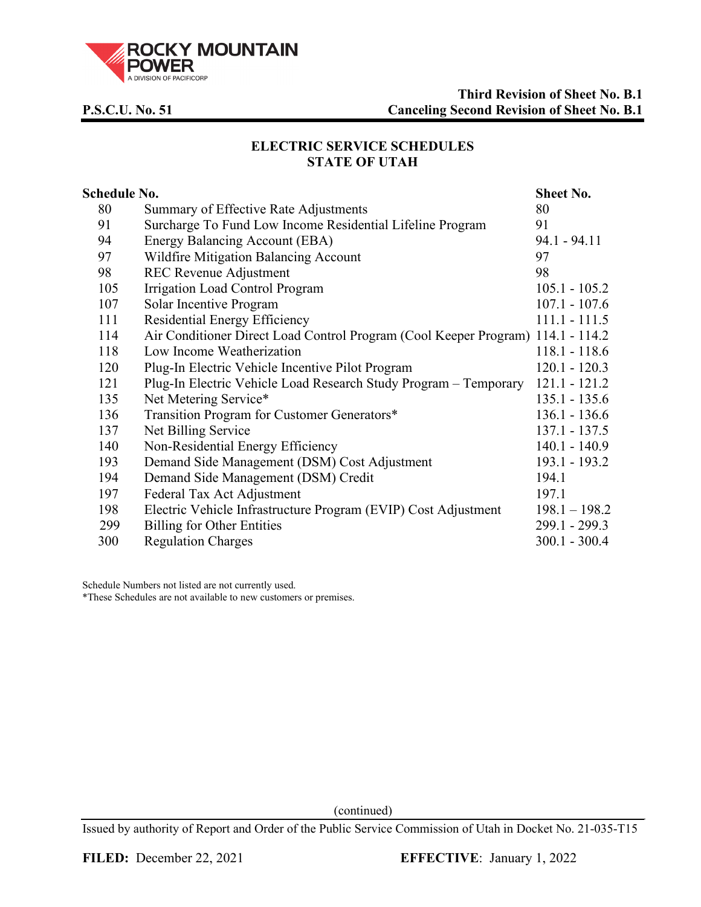

# **ELECTRIC SERVICE SCHEDULES STATE OF UTAH**

| <b>Schedule No.</b>                                                             |                 |  |
|---------------------------------------------------------------------------------|-----------------|--|
| Summary of Effective Rate Adjustments                                           | 80              |  |
| Surcharge To Fund Low Income Residential Lifeline Program                       | 91              |  |
| Energy Balancing Account (EBA)                                                  | $94.1 - 94.11$  |  |
| Wildfire Mitigation Balancing Account                                           | 97              |  |
| <b>REC Revenue Adjustment</b>                                                   | 98              |  |
| <b>Irrigation Load Control Program</b>                                          | $105.1 - 105.2$ |  |
| Solar Incentive Program                                                         | $107.1 - 107.6$ |  |
| Residential Energy Efficiency                                                   | $111.1 - 111.5$ |  |
| Air Conditioner Direct Load Control Program (Cool Keeper Program) 114.1 - 114.2 |                 |  |
| Low Income Weatherization                                                       | 118.1 - 118.6   |  |
| Plug-In Electric Vehicle Incentive Pilot Program                                | $120.1 - 120.3$ |  |
| Plug-In Electric Vehicle Load Research Study Program - Temporary                | $121.1 - 121.2$ |  |
| Net Metering Service*                                                           | $135.1 - 135.6$ |  |
| Transition Program for Customer Generators*                                     | $136.1 - 136.6$ |  |
| Net Billing Service                                                             | $137.1 - 137.5$ |  |
| Non-Residential Energy Efficiency                                               | $140.1 - 140.9$ |  |
| Demand Side Management (DSM) Cost Adjustment                                    | 193.1 - 193.2   |  |
| Demand Side Management (DSM) Credit                                             | 194.1           |  |
| Federal Tax Act Adjustment                                                      | 197.1           |  |
| Electric Vehicle Infrastructure Program (EVIP) Cost Adjustment                  | $198.1 - 198.2$ |  |
| <b>Billing for Other Entities</b>                                               | $299.1 - 299.3$ |  |
| <b>Regulation Charges</b>                                                       | $300.1 - 300.4$ |  |
|                                                                                 |                 |  |

Schedule Numbers not listed are not currently used.

\*These Schedules are not available to new customers or premises.

(continued)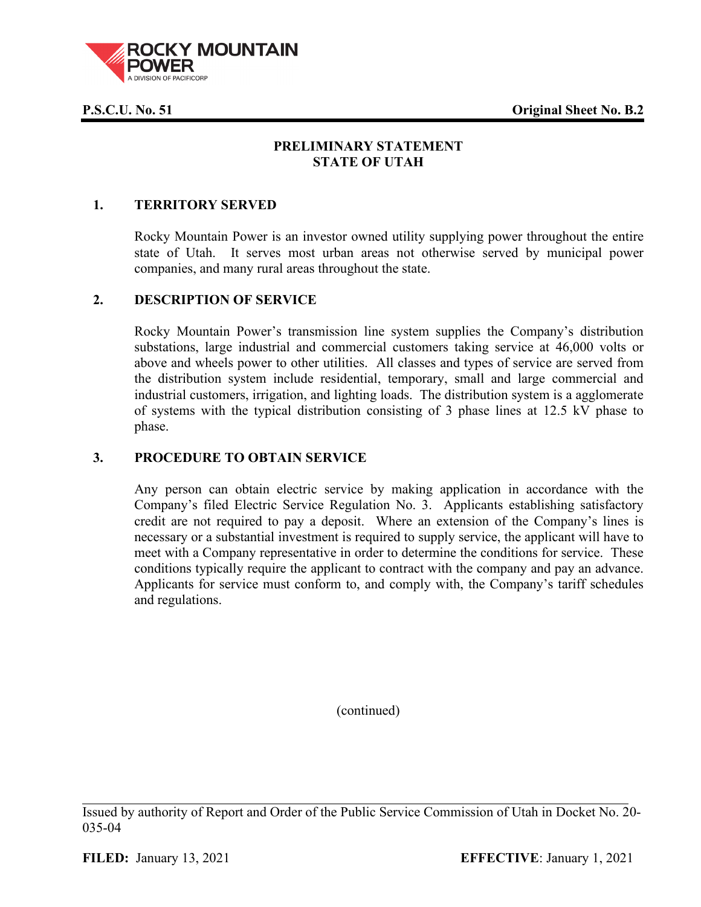**P.S.C.U. No. 51 Original Sheet No. B.2**



# **PRELIMINARY STATEMENT STATE OF UTAH**

## **1. TERRITORY SERVED**

Rocky Mountain Power is an investor owned utility supplying power throughout the entire state of Utah. It serves most urban areas not otherwise served by municipal power companies, and many rural areas throughout the state.

### **2. DESCRIPTION OF SERVICE**

Rocky Mountain Power's transmission line system supplies the Company's distribution substations, large industrial and commercial customers taking service at 46,000 volts or above and wheels power to other utilities. All classes and types of service are served from the distribution system include residential, temporary, small and large commercial and industrial customers, irrigation, and lighting loads. The distribution system is a agglomerate of systems with the typical distribution consisting of 3 phase lines at 12.5 kV phase to phase.

### **3. PROCEDURE TO OBTAIN SERVICE**

Any person can obtain electric service by making application in accordance with the Company's filed Electric Service Regulation No. 3. Applicants establishing satisfactory credit are not required to pay a deposit. Where an extension of the Company's lines is necessary or a substantial investment is required to supply service, the applicant will have to meet with a Company representative in order to determine the conditions for service. These conditions typically require the applicant to contract with the company and pay an advance. Applicants for service must conform to, and comply with, the Company's tariff schedules and regulations.

(continued)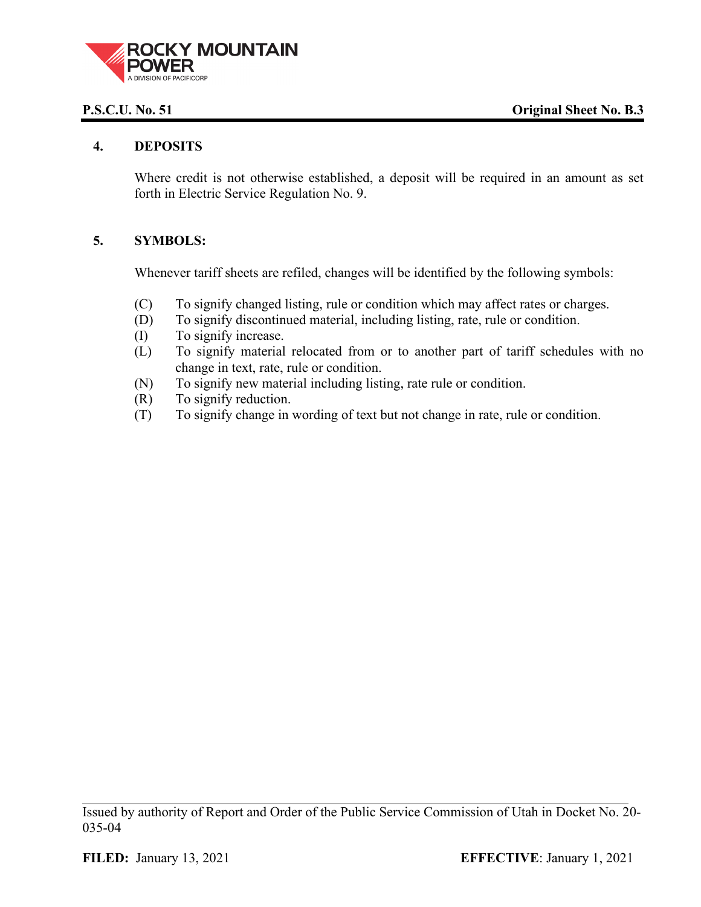

### **4. DEPOSITS**

Where credit is not otherwise established, a deposit will be required in an amount as set forth in Electric Service Regulation No. 9.

## **5. SYMBOLS:**

Whenever tariff sheets are refiled, changes will be identified by the following symbols:

- (C) To signify changed listing, rule or condition which may affect rates or charges.
- (D) To signify discontinued material, including listing, rate, rule or condition.
- (I) To signify increase.
- (L) To signify material relocated from or to another part of tariff schedules with no change in text, rate, rule or condition.
- (N) To signify new material including listing, rate rule or condition.
- (R) To signify reduction.
- (T) To signify change in wording of text but not change in rate, rule or condition.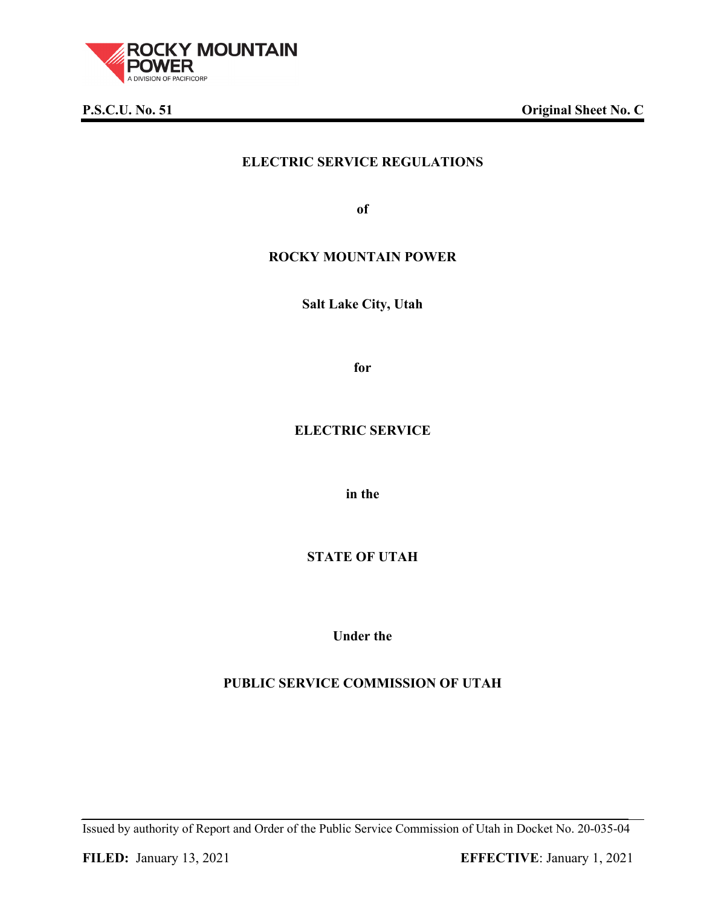

**P.S.C.U. No. 51 Original Sheet No. C**

# **ELECTRIC SERVICE REGULATIONS**

**of**

## **ROCKY MOUNTAIN POWER**

**Salt Lake City, Utah**

**for**

# **ELECTRIC SERVICE**

**in the**

# **STATE OF UTAH**

**Under the**

# **PUBLIC SERVICE COMMISSION OF UTAH**